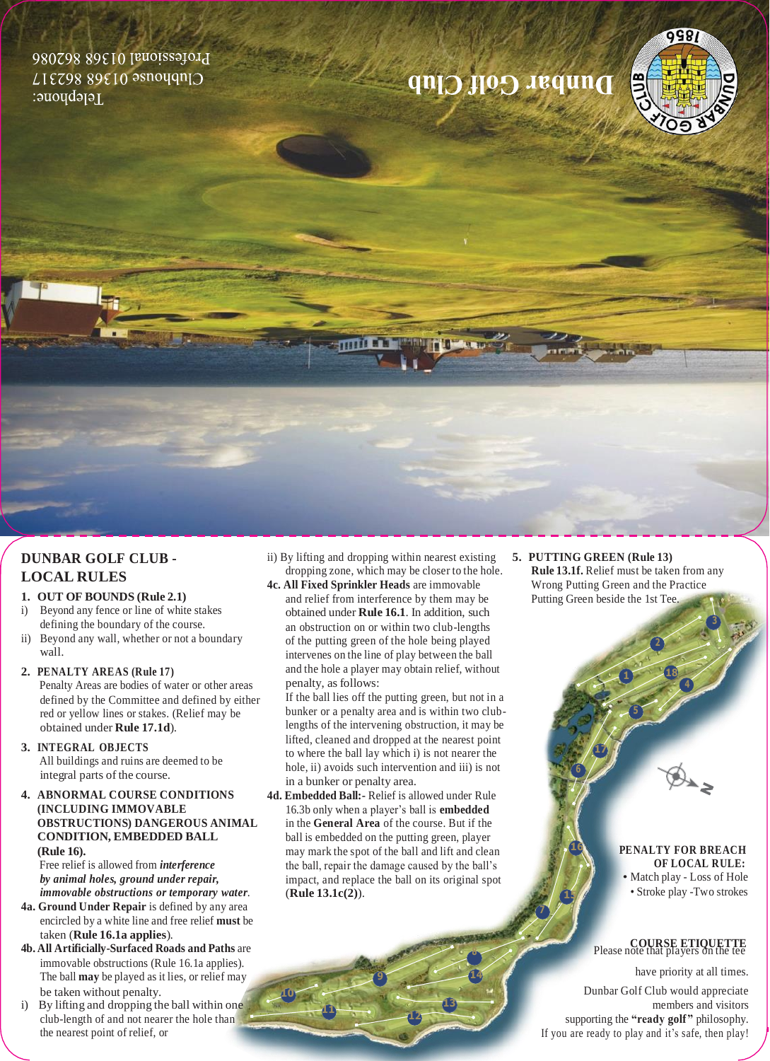Professional 01368 862086  $LIEZ9889E10350497$ refebuoue:

# **Out Colf Club**

### **DUNBAR GOLF CLUB - LOCAL RULES**

#### **1. OUT OF BOUNDS (Rule 2.1)**

- i) Beyond any fence or line of white stakes defining the boundary of the course.
- ii) Beyond any wall, whether or not a boundary wall.

#### **2. PENALTY AREAS (Rule 17)** Penalty Areas are bodies of water or other areas

defined by the Committee and defined by either red or yellow lines or stakes. (Relief may be obtained under **Rule 17.1d**).

- **3. INTEGRAL OBJECTS** All buildings and ruins are deemed to be integral parts of the course.
- **4. ABNORMAL COURSE CONDITIONS (INCLUDING IMMOVABLE OBSTRUCTIONS) DANGEROUS ANIMAL CONDITION, EMBEDDED BALL (Rule 16).**

Free relief is allowed from *interference by animal holes, ground under repair, immovable obstructions or temporary water*.

- **4a. Ground Under Repair** is defined by any area encircled by a white line and free relief **must** be taken (**Rule 16.1a applies**).
- **4b. All Artificially-Surfaced Roads and Paths** are immovable obstructions (Rule 16.1a applies). The ball **may** be played as it lies, or relief may be taken without penalty.
- i) By lifting and dropping the ball within one club-length of and not nearer the hole than the nearest point of relief, or

ii) By lifting and dropping within nearest existing dropping zone, which may be closer to the hole. **4c. All Fixed Sprinkler Heads** are immovable

mill

**Till Aven** 

and relief from interference by them may be obtained under **Rule 16.1**. In addition, such an obstruction on or within two club-lengths of the putting green of the hole being played intervenes on the line of play between the ball and the hole a player may obtain relief, without penalty, as follows:

If the ball lies off the putting green, but not in a bunker or a penalty area and is within two clublengths of the intervening obstruction, it may be lifted, cleaned and dropped at the nearest point to where the ball lay which i) is not nearer the hole, ii) avoids such intervention and iii) is not in a bunker or penalty area.

**4d. Embedded Ball:-** Relief is allowed under Rule 16.3b only when a player's ball is **embedded** in the **General Area** of the course. But if the ball is embedded on the putting green, player may mark the spot of the ball and lift and clean the ball, repair the damage caused by the ball's impact, and replace the ball on its original spot (**Rule 13.1c(2)**).

**8**

**9 14 13 12**

**7**

**5. PUTTING GREEN (Rule 13) Rule 13.1f.** Relief must be taken from any Wrong Putting Green and the Practice Putting Green beside the 1st Tee.

**17**

**1 18**

**4**

9981

#### **16 PENALTY FOR BREACH OF LOCAL RULE:** • Match play - Loss of Hole **15** • Stroke play -Two strokes

## **COURSE ETIQUETTE** Please note that players on the tee

have priority at all times.

Dunbar Golf Club would appreciate members and visitors supporting the **"ready golf"** philosophy. If you are ready to play and it's safe, then play!